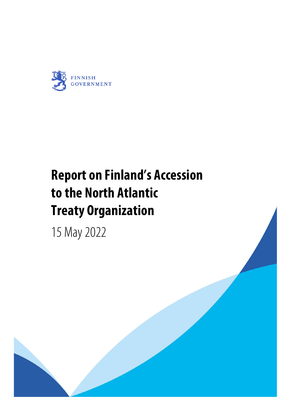

## **Report on Finland's Accession to the North Atlantic Treaty Organization**

15 May 2022

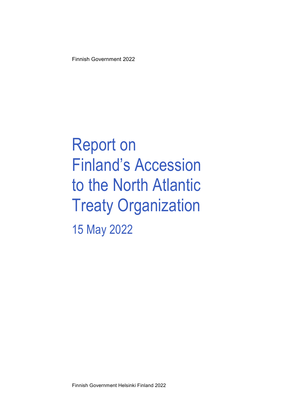Finnish Government 2022

Report on Finland's Accession to the North Atlantic Treaty Organization 15 May 2022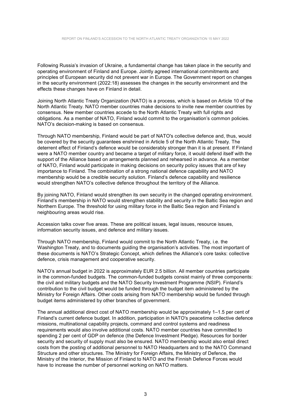Following Russia's invasion of Ukraine, a fundamental change has taken place in the security and operating environment of Finland and Europe. Jointly agreed international commitments and principles of European security did not prevent war in Europe. The Government report on changes in the security environment (2022:18) assesses the changes in the security environment and the effects these changes have on Finland in detail.

Joining North Atlantic Treaty Organization (NATO) is a process, which is based on Article 10 of the North Atlantic Treaty. NATO member countries make decisions to invite new member countries by consensus. New member countries accede to the North Atlantic Treaty with full rights and obligations. As a member of NATO, Finland would commit to the organisation's common policies. NATO's decision-making is based on consensus.

Through NATO membership, Finland would be part of NATO's collective defence and, thus, would be covered by the security guarantees enshrined in Article 5 of the North Atlantic Treaty. The deterrent effect of Finland's defence would be considerably stronger than it is at present. If Finland were a NATO member country and became a target of military force, it would defend itself with the support of the Alliance based on arrangements planned and rehearsed in advance. As a member of NATO, Finland would participate in making decisions on security policy issues that are of key importance to Finland. The combination of a strong national defence capability and NATO membership would be a credible security solution. Finland's defence capability and resilience would strengthen NATO's collective defence throughout the territory of the Alliance.

By joining NATO, Finland would strengthen its own security in the changed operating environment. Finland's membership in NATO would strengthen stability and security in the Baltic Sea region and Northern Europe. The threshold for using military force in the Baltic Sea region and Finland's neighbouring areas would rise.

Accession talks cover five areas. These are political issues, legal issues, resource issues, information security issues, and defence and military issues.

Through NATO membership, Finland would commit to the North Atlantic Treaty, i.e. the Washington Treaty, and to documents guiding the organisation's activities. The most important of these documents is NATO's Strategic Concept, which defines the Alliance's core tasks: collective defence, crisis management and cooperative security.

NATO's annual budget in 2022 is approximately EUR 2.5 billion. All member countries participate in the common-funded budgets. The common-funded budgets consist mainly of three components: the civil and military budgets and the NATO Security Investment Programme (NSIP). Finland's contribution to the civil budget would be funded through the budget item administered by the Ministry for Foreign Affairs. Other costs arising from NATO membership would be funded through budget items administered by other branches of government.

The annual additional direct cost of NATO membership would be approximately 1–1.5 per cent of Finland's current defence budget. In addition, participation in NATO's peacetime collective defence missions, multinational capability projects, command and control systems and readiness requirements would also involve additional costs. NATO member countries have committed to spending 2 per cent of GDP on defence (the Defence Investment Pledge). Resources for border security and security of supply must also be ensured. NATO membership would also entail direct costs from the posting of additional personnel to NATO Headquarters and to the NATO Command Structure and other structures. The Ministry for Foreign Affairs, the Ministry of Defence, the Ministry of the Interior, the Mission of Finland to NATO and the Finnish Defence Forces would have to increase the number of personnel working on NATO matters.